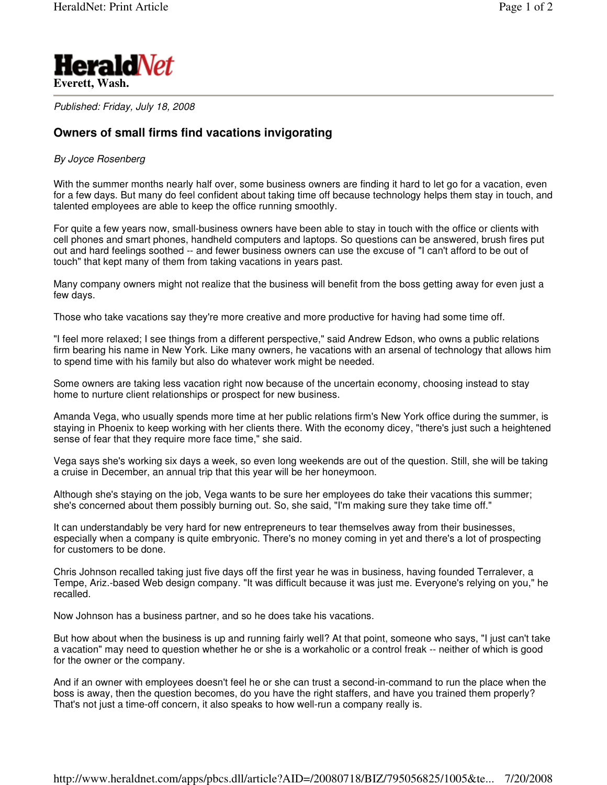

*Published: Friday, July 18, 2008*

## **Owners of small firms find vacations invigorating**

## *By Joyce Rosenberg*

With the summer months nearly half over, some business owners are finding it hard to let go for a vacation, even for a few days. But many do feel confident about taking time off because technology helps them stay in touch, and talented employees are able to keep the office running smoothly.

For quite a few years now, small-business owners have been able to stay in touch with the office or clients with cell phones and smart phones, handheld computers and laptops. So questions can be answered, brush fires put out and hard feelings soothed -- and fewer business owners can use the excuse of "I can't afford to be out of touch" that kept many of them from taking vacations in years past.

Many company owners might not realize that the business will benefit from the boss getting away for even just a few days.

Those who take vacations say they're more creative and more productive for having had some time off.

"I feel more relaxed; I see things from a different perspective," said Andrew Edson, who owns a public relations firm bearing his name in New York. Like many owners, he vacations with an arsenal of technology that allows him to spend time with his family but also do whatever work might be needed.

Some owners are taking less vacation right now because of the uncertain economy, choosing instead to stay home to nurture client relationships or prospect for new business.

Amanda Vega, who usually spends more time at her public relations firm's New York office during the summer, is staying in Phoenix to keep working with her clients there. With the economy dicey, "there's just such a heightened sense of fear that they require more face time," she said.

Vega says she's working six days a week, so even long weekends are out of the question. Still, she will be taking a cruise in December, an annual trip that this year will be her honeymoon.

Although she's staying on the job, Vega wants to be sure her employees do take their vacations this summer; she's concerned about them possibly burning out. So, she said, "I'm making sure they take time off."

It can understandably be very hard for new entrepreneurs to tear themselves away from their businesses, especially when a company is quite embryonic. There's no money coming in yet and there's a lot of prospecting for customers to be done.

Chris Johnson recalled taking just five days off the first year he was in business, having founded Terralever, a Tempe, Ariz.-based Web design company. "It was difficult because it was just me. Everyone's relying on you," he recalled.

Now Johnson has a business partner, and so he does take his vacations.

But how about when the business is up and running fairly well? At that point, someone who says, "I just can't take a vacation" may need to question whether he or she is a workaholic or a control freak -- neither of which is good for the owner or the company.

And if an owner with employees doesn't feel he or she can trust a second-in-command to run the place when the boss is away, then the question becomes, do you have the right staffers, and have you trained them properly? That's not just a time-off concern, it also speaks to how well-run a company really is.